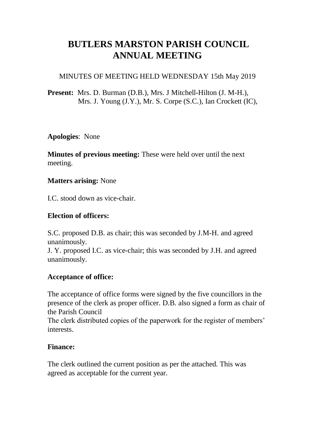# **BUTLERS MARSTON PARISH COUNCIL ANNUAL MEETING**

#### MINUTES OF MEETING HELD WEDNESDAY 15th May 2019

# **Present:** Mrs. D. Burman (D.B.), Mrs. J Mitchell-Hilton (J. M-H.), Mrs. J. Young (J.Y.), Mr. S. Corpe (S.C.), Ian Crockett (IC),

#### **Apologies**: None

**Minutes of previous meeting:** These were held over until the next meeting.

#### **Matters arising:** None

I.C. stood down as vice-chair.

# **Election of officers:**

S.C. proposed D.B. as chair; this was seconded by J.M-H. and agreed unanimously.

J. Y. proposed I.C. as vice-chair; this was seconded by J.H. and agreed unanimously.

# **Acceptance of office:**

The acceptance of office forms were signed by the five councillors in the presence of the clerk as proper officer. D.B. also signed a form as chair of the Parish Council

The clerk distributed copies of the paperwork for the register of members' interests.

#### **Finance:**

The clerk outlined the current position as per the attached. This was agreed as acceptable for the current year.